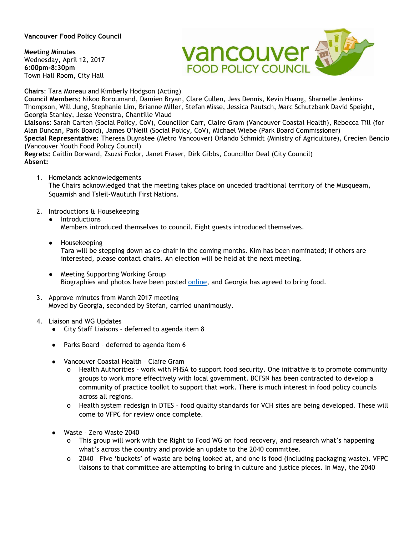## **Vancouver Food Policy Council**

**Meeting Minutes**  Wednesday, April 12, 2017 **6:00pm-8:30pm**  Town Hall Room, City Hall



**Chairs**: Tara Moreau and Kimberly Hodgson (Acting)

**Council Members:** Nikoo Boroumand, Damien Bryan, Clare Cullen, Jess Dennis, Kevin Huang, Sharnelle Jenkins-Thompson, Will Jung, Stephanie Lim, Brianne Miller, Stefan Misse, Jessica Pautsch, Marc Schutzbank David Speight, Georgia Stanley, Jesse Veenstra, Chantille Viaud **Liaisons**: Sarah Carten (Social Policy, CoV), Councillor Carr, Claire Gram (Vancouver Coastal Health), Rebecca Till (for Alan Duncan, Park Board), James O'Neill (Social Policy, CoV), Michael Wiebe (Park Board Commissioner) **Special Representative:** Theresa Duynstee (Metro Vancouver) Orlando Schmidt (Ministry of Agriculture), Crecien Bencio (Vancouver Youth Food Policy Council) **Regrets:** Caitlin Dorward, Zsuzsi Fodor, Janet Fraser, Dirk Gibbs, Councillor Deal (City Council) **Absent:**

1. Homelands acknowledgements

The Chairs acknowledged that the meeting takes place on unceded traditional territory of the Musqueam, Squamish and Tsleil-Waututh First Nations.

- 2. Introductions & Housekeeping
	- Introductions

Members introduced themselves to council. Eight guests introduced themselves.

- Housekeeping Tara will be stepping down as co-chair in the coming months. Kim has been nominated; if others are interested, please contact chairs. An election will be held at the next meeting.
- Meeting Supporting Working Group Biographies and photos have been posted [online,](http://www.vancouverfoodpolicycouncil.ca/about/current-members/) and Georgia has agreed to bring food.
- 3. Approve minutes from March 2017 meeting Moved by Georgia, seconded by Stefan, carried unanimously.
- 4. Liaison and WG Updates
	- City Staff Liaisons deferred to agenda item 8
	- Parks Board deferred to agenda item 6
	- Vancouver Coastal Health Claire Gram
		- Health Authorities work with PHSA to support food security. One initiative is to promote community groups to work more effectively with local government. BCFSN has been contracted to develop a community of practice toolkit to support that work. There is much interest in food policy councils across all regions.
		- o Health system redesign in DTES food quality standards for VCH sites are being developed. These will come to VFPC for review once complete.
	- Waste Zero Waste 2040
		- This group will work with the Right to Food WG on food recovery, and research what's happening what's across the country and provide an update to the 2040 committee.
		- o 2040 Five 'buckets' of waste are being looked at, and one is food (including packaging waste). VFPC liaisons to that committee are attempting to bring in culture and justice pieces. In May, the 2040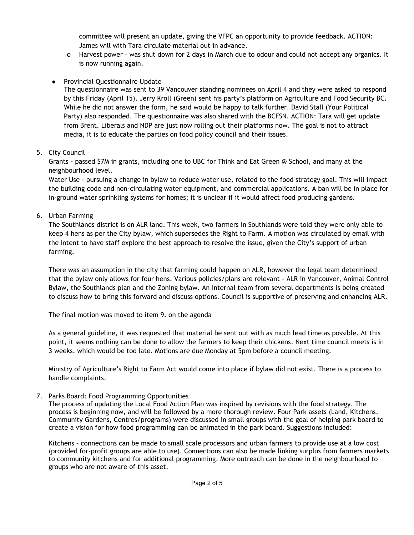committee will present an update, giving the VFPC an opportunity to provide feedback. ACTION: James will with Tara circulate material out in advance.

- o Harvest power was shut down for 2 days in March due to odour and could not accept any organics. It is now running again.
- Provincial Questionnaire Update

The questionnaire was sent to 39 Vancouver standing nominees on April 4 and they were asked to respond by this Friday (April 15). Jerry Kroll (Green) sent his party's platform on Agriculture and Food Security BC. While he did not answer the form, he said would be happy to talk further. David Stall (Your Political Party) also responded. The questionnaire was also shared with the BCFSN. ACTION: Tara will get update from Brent. Liberals and NDP are just now rolling out their platforms now. The goal is not to attract media, it is to educate the parties on food policy council and their issues.

5. City Council –

Grants - passed \$7M in grants, including one to UBC for Think and Eat Green @ School, and many at the neighbourhood level.

Water Use - pursuing a change in bylaw to reduce water use, related to the food strategy goal. This will impact the building code and non-circulating water equipment, and commercial applications. A ban will be in place for in-ground water sprinkling systems for homes; it is unclear if it would affect food producing gardens.

6. Urban Farming –

The Southlands district is on ALR land. This week, two farmers in Southlands were told they were only able to keep 4 hens as per the City bylaw, which supersedes the Right to Farm. A motion was circulated by email with the intent to have staff explore the best approach to resolve the issue, given the City's support of urban farming.

There was an assumption in the city that farming could happen on ALR, however the legal team determined that the bylaw only allows for four hens. Various policies/plans are relevant - ALR in Vancouver, Animal Control Bylaw, the Southlands plan and the Zoning bylaw. An internal team from several departments is being created to discuss how to bring this forward and discuss options. Council is supportive of preserving and enhancing ALR.

The final motion was moved to item 9. on the agenda

As a general guideline, it was requested that material be sent out with as much lead time as possible. At this point, it seems nothing can be done to allow the farmers to keep their chickens. Next time council meets is in 3 weeks, which would be too late. Motions are due Monday at 5pm before a council meeting.

Ministry of Agriculture's Right to Farm Act would come into place if bylaw did not exist. There is a process to handle complaints.

7. Parks Board: Food Programming Opportunities

The process of updating the Local Food Action Plan was inspired by revisions with the food strategy. The process is beginning now, and will be followed by a more thorough review. Four Park assets (Land, Kitchens, Community Gardens, Centres/programs) were discussed in small groups with the goal of helping park board to create a vision for how food programming can be animated in the park board. Suggestions included:

Kitchens – connections can be made to small scale processors and urban farmers to provide use at a low cost (provided for-profit groups are able to use). Connections can also be made linking surplus from farmers markets to community kitchens and for additional programming. More outreach can be done in the neighbourhood to groups who are not aware of this asset.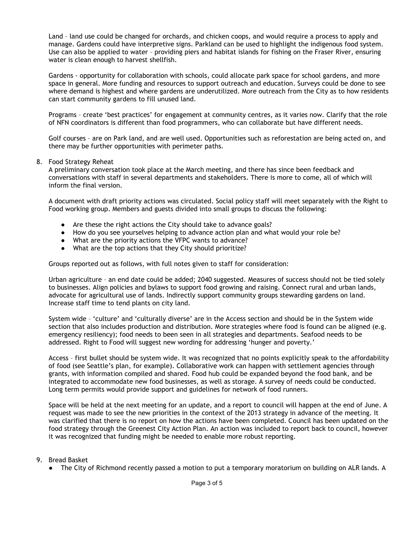Land – land use could be changed for orchards, and chicken coops, and would require a process to apply and manage. Gardens could have interpretive signs. Parkland can be used to highlight the indigenous food system. Use can also be applied to water – providing piers and habitat islands for fishing on the Fraser River, ensuring water is clean enough to harvest shellfish.

Gardens - opportunity for collaboration with schools, could allocate park space for school gardens, and more space in general. More funding and resources to support outreach and education. Surveys could be done to see where demand is highest and where gardens are underutilized. More outreach from the City as to how residents can start community gardens to fill unused land.

Programs – create 'best practices' for engagement at community centres, as it varies now. Clarify that the role of NFN coordinators is different than food programmers, who can collaborate but have different needs.

Golf courses – are on Park land, and are well used. Opportunities such as reforestation are being acted on, and there may be further opportunities with perimeter paths.

## 8. Food Strategy Reheat

A preliminary conversation took place at the March meeting, and there has since been feedback and conversations with staff in several departments and stakeholders. There is more to come, all of which will inform the final version.

A document with draft priority actions was circulated. Social policy staff will meet separately with the Right to Food working group. Members and guests divided into small groups to discuss the following:

- Are these the right actions the City should take to advance goals?
- How do you see yourselves helping to advance action plan and what would your role be?
- What are the priority actions the VFPC wants to advance?
- What are the top actions that they City should prioritize?

Groups reported out as follows, with full notes given to staff for consideration:

Urban agriculture – an end date could be added; 2040 suggested. Measures of success should not be tied solely to businesses. Align policies and bylaws to support food growing and raising. Connect rural and urban lands, advocate for agricultural use of lands. Indirectly support community groups stewarding gardens on land. Increase staff time to tend plants on city land.

System wide – 'culture' and 'culturally diverse' are in the Access section and should be in the System wide section that also includes production and distribution. More strategies where food is found can be aligned (e.g. emergency resiliency); food needs to been seen in all strategies and departments. Seafood needs to be addressed. Right to Food will suggest new wording for addressing 'hunger and poverty.'

Access – first bullet should be system wide. It was recognized that no points explicitly speak to the affordability of food (see Seattle's plan, for example). Collaborative work can happen with settlement agencies through grants, with information compiled and shared. Food hub could be expanded beyond the food bank, and be integrated to accommodate new food businesses, as well as storage. A survey of needs could be conducted. Long term permits would provide support and guidelines for network of food runners.

Space will be held at the next meeting for an update, and a report to council will happen at the end of June. A request was made to see the new priorities in the context of the 2013 strategy in advance of the meeting. It was clarified that there is no report on how the actions have been completed. Council has been updated on the food strategy through the Greenest City Action Plan. An action was included to report back to council, however it was recognized that funding might be needed to enable more robust reporting.

## 9. Bread Basket

• The City of Richmond recently passed a motion to put a temporary moratorium on building on ALR lands. A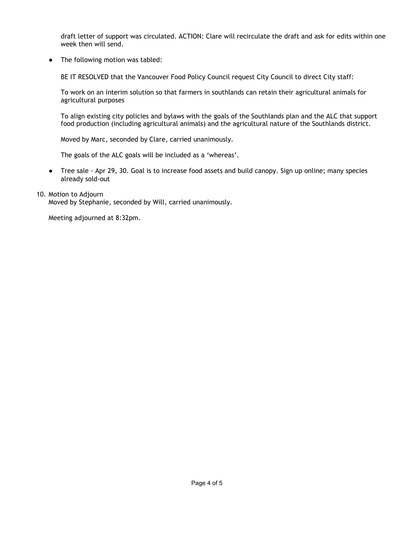draft letter of support was circulated. ACTION: Clare will recirculate the draft and ask for edits within one week then will send.

• The following motion was tabled:

BE IT RESOLVED that the Vancouver Food Policy Council request City Council to direct City staff:

To work on an interim solution so that farmers in southlands can retain their agricultural animals for agricultural purposes

To align existing city policies and bylaws with the goals of the Southlands plan and the ALC that support food production (including agricultural animals) and the agricultural nature of the Southlands district.

Moved by Marc, seconded by Clare, carried unanimously.

The goals of the ALC goals will be included as a 'whereas'.

● Tree sale - Apr 29, 30. Goal is to increase food assets and build canopy. Sign up online; many species already sold-out

## 10. Motion to Adjourn

Moved by Stephanie, seconded by Will, carried unanimously.

Meeting adjourned at 8:32pm.